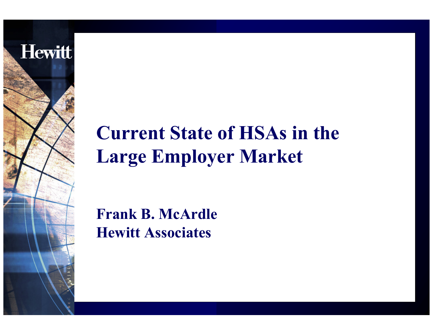

# **Current State of HSAs in the Large Employer Market**

**Frank B. McArdle Hewitt Associates**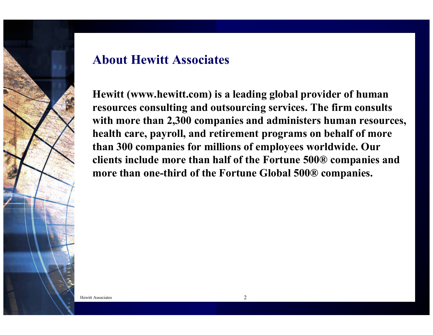

#### **About Hewitt Associates**

**Hewitt (www.hewitt.com) is a leading global provider of human resources consulting and outsourcing services. The firm consults with more than 2,300 companies and administers human resources, health care, payroll, and retirement programs on behalf of more than 300 companies for millions of employees worldwide. Our clients include more than half of the Fortune 500® companies and more than one-third of the Fortune Global 500® companies.**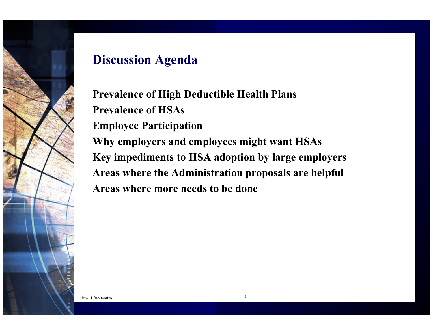

## **Discussion Agenda**

**Prevalence of High Deductible Health Plans Prevalence of HSAsEmployee Participation Why employers and employees might want HSAs Key impediments to HSA adoption by large employers Areas where the Administration proposals are helpful Areas where more needs to be done**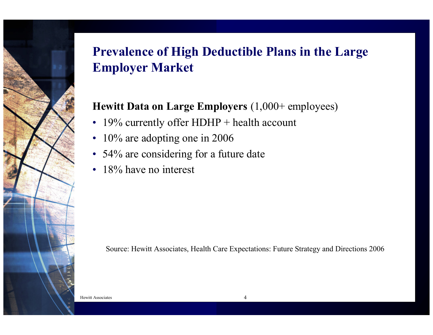

## **Prevalence of High Deductible Plans in the Large Employer Market**

#### **Hewitt Data on Large Employers** (1,000+ employees)

- 19% currently offer HDHP + health account
- 10% are adopting one in 2006
- 54% are considering for a future date
- •18% have no interest

Source: Hewitt Associates, Health Care Expectations: Future Strategy and Directions 2006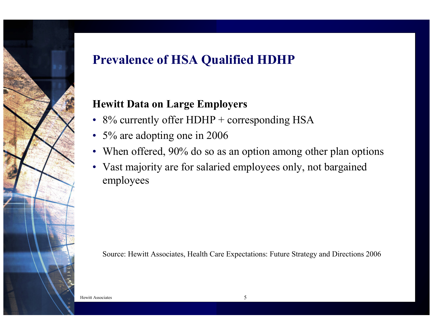## **Prevalence of HSA Qualified HDHP**

#### **Hewitt Data on Large Employers**

- 8% currently offer HDHP + corresponding HSA
- 5% are adopting one in 2006
- When offered, 90% do so as an option among other plan options
- Vast majority are for salaried employees only, not bargained employees

Source: Hewitt Associates, Health Care Expectations: Future Strategy and Directions 2006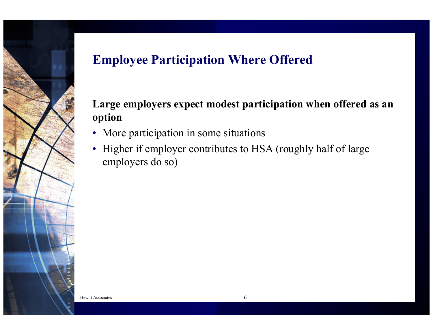

## **Employee Participation Where Offered**

#### **Large employers expect modest participation when offered as an option**

- More participation in some situations
- Higher if employer contributes to HSA (roughly half of large employers do so)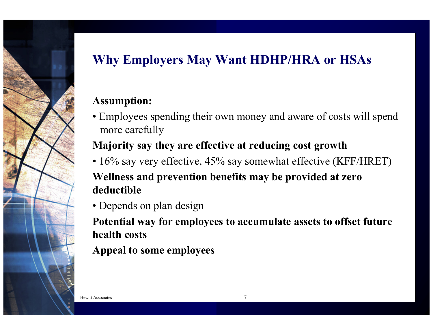## **Why Employers May Want HDHP/HRA or HSAs**

#### **Assumption:**

• Employees spending their own money and aware of costs will spend more carefully

#### **Majority say they are effective at reducing cost growth**

• 16% say very effective, 45% say somewhat effective (KFF/HRET)

#### **Wellness and prevention benefits may be provided at zero deductible**

• Depends on plan design

**Potential way for employees to accumulate assets to offset future health costs**

**Appeal to some employees**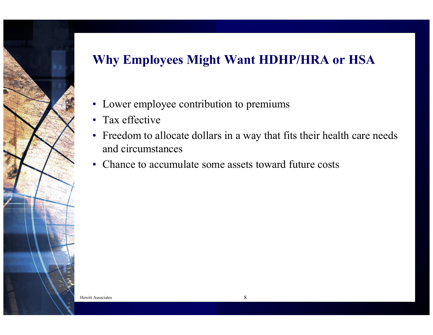## **Why Employees Might Want HDHP/HRA or HSA**

- Lower employee contribution to premiums
- Tax effective
- Freedom to allocate dollars in a way that fits their health care needs and circumstances
- Chance to accumulate some assets toward future costs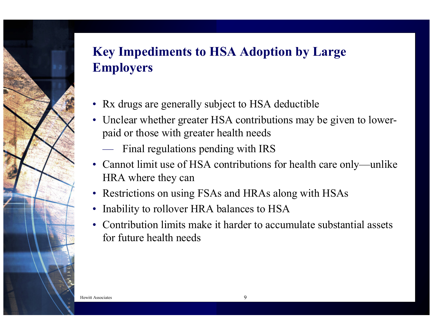## **Key Impediments to HSA Adoption by Large Employers**

- Rx drugs are generally subject to HSA deductible
- Unclear whether greater HSA contributions may be given to lowerpaid or those with greater health needs
	- Final regulations pending with IRS
- Cannot limit use of HSA contributions for health care only—unlike HRA where they can
- Restrictions on using FSAs and HRAs along with HSAs
- •Inability to rollover HRA balances to HSA
- Contribution limits make it harder to accumulate substantial assets for future health needs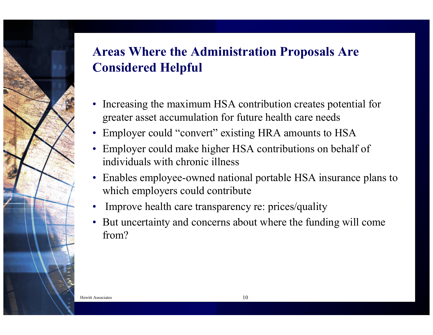## **Areas Where the Administration Proposals Are Considered Helpful**

- Increasing the maximum HSA contribution creates potential for greater asset accumulation for future health care needs
- Employer could "convert" existing HRA amounts to HSA
- Employer could make higher HSA contributions on behalf of individuals with chronic illness
- Enables employee-owned national portable HSA insurance plans to which employers could contribute
- •Improve health care transparency re: prices/quality
- • But uncertainty and concerns about where the funding will come from?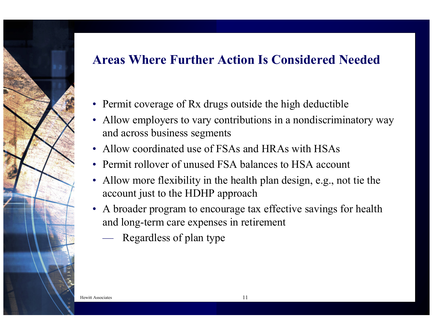### **Areas Where Further Action Is Considered Needed**

- Permit coverage of Rx drugs outside the high deductible
- Allow employers to vary contributions in a nondiscriminatory way and across business segments
- Allow coordinated use of FSAs and HRAs with HSAs
- Permit rollover of unused FSA balances to HSA account
- Allow more flexibility in the health plan design, e.g., not tie the account just to the HDHP approach
- A broader program to encourage tax effective savings for health and long-term care expenses in retirement
	- Regardless of plan type